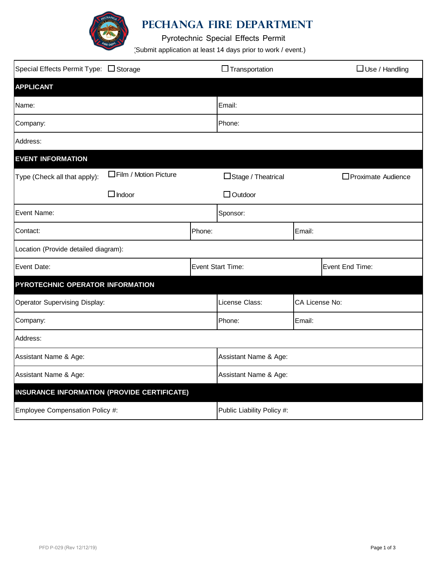

## **PEChanga Fire Department**

Pyrotechnic Special Effects Permit

(Submit application at least 14 days prior to work / event.)

| Special Effects Permit Type: □ Storage             |                        |        | $\Box$ Transportation      |                | $\Box$ Use / Handling |  |  |  |
|----------------------------------------------------|------------------------|--------|----------------------------|----------------|-----------------------|--|--|--|
| <b>APPLICANT</b>                                   |                        |        |                            |                |                       |  |  |  |
| Name:                                              |                        |        | Email:                     |                |                       |  |  |  |
| Company:                                           |                        |        | Phone:                     |                |                       |  |  |  |
| Address:                                           |                        |        |                            |                |                       |  |  |  |
| <b>EVENT INFORMATION</b>                           |                        |        |                            |                |                       |  |  |  |
| Type (Check all that apply):                       | □Film / Motion Picture |        | □Stage / Theatrical        |                | □ Proximate Audience  |  |  |  |
|                                                    | $\Box$ Indoor          |        | $\Box$ Outdoor             |                |                       |  |  |  |
| Event Name:                                        |                        |        | Sponsor:                   |                |                       |  |  |  |
| Contact:                                           |                        | Phone: |                            | Email:         |                       |  |  |  |
| Location (Provide detailed diagram):               |                        |        |                            |                |                       |  |  |  |
| Event Date:                                        |                        |        | <b>Event Start Time:</b>   |                | Event End Time:       |  |  |  |
| PYROTECHNIC OPERATOR INFORMATION                   |                        |        |                            |                |                       |  |  |  |
| <b>Operator Supervising Display:</b>               |                        |        | License Class:             | CA License No: |                       |  |  |  |
| Company:                                           |                        |        | Phone:                     | Email:         |                       |  |  |  |
| Address:                                           |                        |        |                            |                |                       |  |  |  |
| Assistant Name & Age:                              |                        |        | Assistant Name & Age:      |                |                       |  |  |  |
| Assistant Name & Age:                              |                        |        | Assistant Name & Age:      |                |                       |  |  |  |
| <b>INSURANCE INFORMATION (PROVIDE CERTIFICATE)</b> |                        |        |                            |                |                       |  |  |  |
| Employee Compensation Policy #:                    |                        |        | Public Liability Policy #: |                |                       |  |  |  |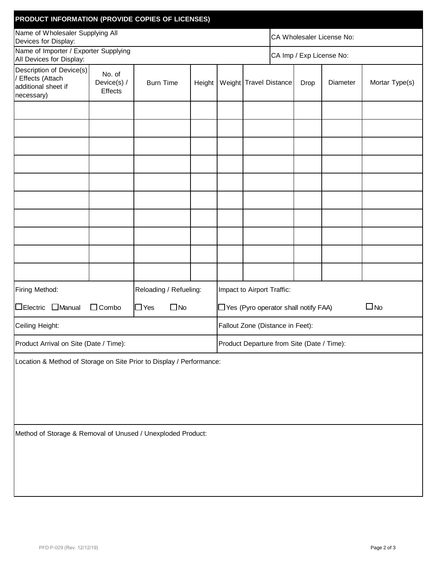| PRODUCT INFORMATION (PROVIDE COPIES OF LICENSES)                                     |                                  |                  |  |                                                          |                                   |                           |      |          |                |  |
|--------------------------------------------------------------------------------------|----------------------------------|------------------|--|----------------------------------------------------------|-----------------------------------|---------------------------|------|----------|----------------|--|
| Name of Wholesaler Supplying All<br>Devices for Display:                             |                                  |                  |  |                                                          |                                   | CA Wholesaler License No: |      |          |                |  |
| Name of Importer / Exporter Supplying<br>All Devices for Display:                    |                                  |                  |  |                                                          | CA Imp / Exp License No:          |                           |      |          |                |  |
| Description of Device(s)<br>Effects (Attach<br>additional sheet if<br>necessary)     | No. of<br>Device(s) /<br>Effects | <b>Burn Time</b> |  |                                                          | Height   Weight   Travel Distance |                           | Drop | Diameter | Mortar Type(s) |  |
|                                                                                      |                                  |                  |  |                                                          |                                   |                           |      |          |                |  |
|                                                                                      |                                  |                  |  |                                                          |                                   |                           |      |          |                |  |
|                                                                                      |                                  |                  |  |                                                          |                                   |                           |      |          |                |  |
|                                                                                      |                                  |                  |  |                                                          |                                   |                           |      |          |                |  |
|                                                                                      |                                  |                  |  |                                                          |                                   |                           |      |          |                |  |
|                                                                                      |                                  |                  |  |                                                          |                                   |                           |      |          |                |  |
|                                                                                      |                                  |                  |  |                                                          |                                   |                           |      |          |                |  |
|                                                                                      |                                  |                  |  |                                                          |                                   |                           |      |          |                |  |
|                                                                                      |                                  |                  |  |                                                          |                                   |                           |      |          |                |  |
|                                                                                      |                                  |                  |  |                                                          |                                   |                           |      |          |                |  |
| Firing Method:<br>Reloading / Refueling:                                             |                                  |                  |  | Impact to Airport Traffic:                               |                                   |                           |      |          |                |  |
| □Electric □Manual<br>$\Box$ No<br>$\Box$ Combo<br>$\Box$ Yes                         |                                  |                  |  | $\Box$ No<br>$\Box$ Yes (Pyro operator shall notify FAA) |                                   |                           |      |          |                |  |
| Ceiling Height:                                                                      |                                  |                  |  | Fallout Zone (Distance in Feet):                         |                                   |                           |      |          |                |  |
| Product Arrival on Site (Date / Time):<br>Product Departure from Site (Date / Time): |                                  |                  |  |                                                          |                                   |                           |      |          |                |  |
| Location & Method of Storage on Site Prior to Display / Performance:                 |                                  |                  |  |                                                          |                                   |                           |      |          |                |  |
|                                                                                      |                                  |                  |  |                                                          |                                   |                           |      |          |                |  |
| Method of Storage & Removal of Unused / Unexploded Product:                          |                                  |                  |  |                                                          |                                   |                           |      |          |                |  |
|                                                                                      |                                  |                  |  |                                                          |                                   |                           |      |          |                |  |
|                                                                                      |                                  |                  |  |                                                          |                                   |                           |      |          |                |  |
|                                                                                      |                                  |                  |  |                                                          |                                   |                           |      |          |                |  |